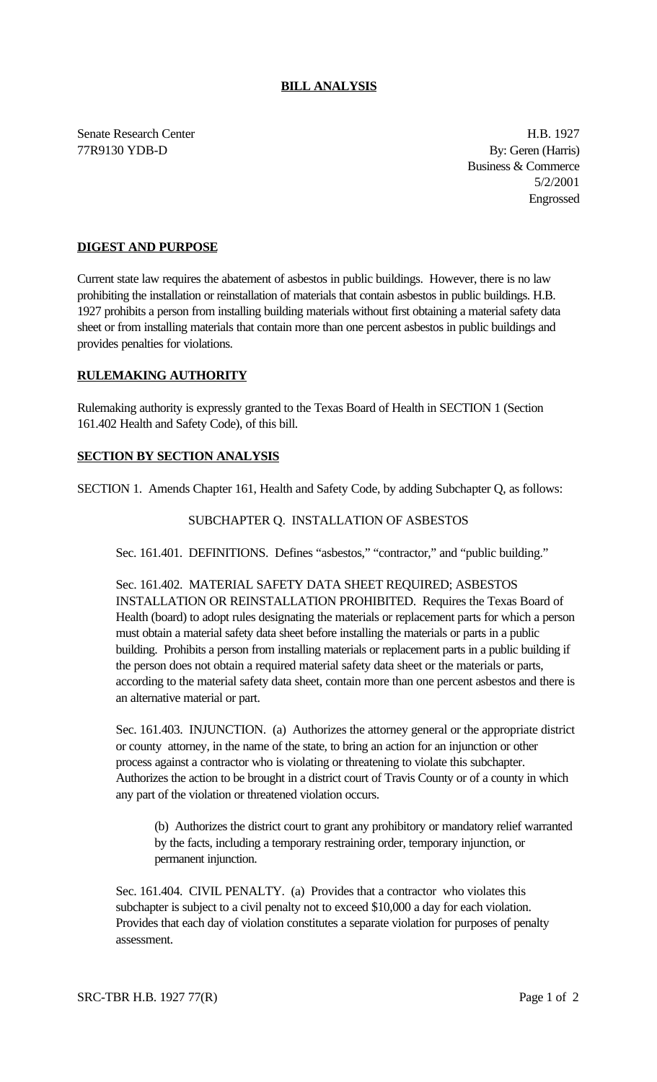## **BILL ANALYSIS**

Senate Research Center **H.B. 1927** 77R9130 YDB-D By: Geren (Harris)

Business & Commerce 5/2/2001 Engrossed

## **DIGEST AND PURPOSE**

Current state law requires the abatement of asbestos in public buildings. However, there is no law prohibiting the installation or reinstallation of materials that contain asbestos in public buildings. H.B. 1927 prohibits a person from installing building materials without first obtaining a material safety data sheet or from installing materials that contain more than one percent asbestos in public buildings and provides penalties for violations.

### **RULEMAKING AUTHORITY**

Rulemaking authority is expressly granted to the Texas Board of Health in SECTION 1 (Section 161.402 Health and Safety Code), of this bill.

#### **SECTION BY SECTION ANALYSIS**

SECTION 1. Amends Chapter 161, Health and Safety Code, by adding Subchapter Q, as follows:

# SUBCHAPTER Q. INSTALLATION OF ASBESTOS

Sec. 161.401. DEFINITIONS. Defines "asbestos," "contractor," and "public building."

Sec. 161.402. MATERIAL SAFETY DATA SHEET REQUIRED; ASBESTOS INSTALLATION OR REINSTALLATION PROHIBITED. Requires the Texas Board of Health (board) to adopt rules designating the materials or replacement parts for which a person must obtain a material safety data sheet before installing the materials or parts in a public building. Prohibits a person from installing materials or replacement parts in a public building if the person does not obtain a required material safety data sheet or the materials or parts, according to the material safety data sheet, contain more than one percent asbestos and there is an alternative material or part.

Sec. 161.403. INJUNCTION. (a) Authorizes the attorney general or the appropriate district or county attorney, in the name of the state, to bring an action for an injunction or other process against a contractor who is violating or threatening to violate this subchapter. Authorizes the action to be brought in a district court of Travis County or of a county in which any part of the violation or threatened violation occurs.

(b) Authorizes the district court to grant any prohibitory or mandatory relief warranted by the facts, including a temporary restraining order, temporary injunction, or permanent injunction.

Sec. 161.404. CIVIL PENALTY. (a) Provides that a contractor who violates this subchapter is subject to a civil penalty not to exceed \$10,000 a day for each violation. Provides that each day of violation constitutes a separate violation for purposes of penalty assessment.